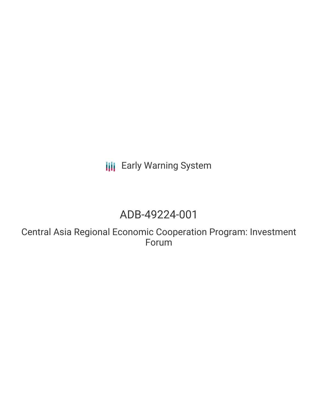**III** Early Warning System

# ADB-49224-001

Central Asia Regional Economic Cooperation Program: Investment Forum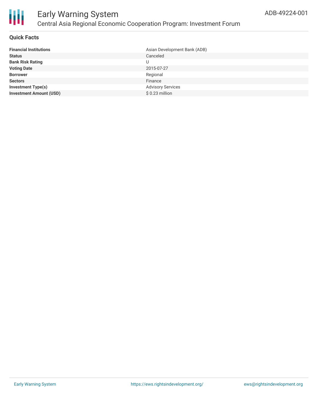

### **Quick Facts**

| <b>Financial Institutions</b>  | Asian Development Bank (ADB) |
|--------------------------------|------------------------------|
| <b>Status</b>                  | Canceled                     |
| <b>Bank Risk Rating</b>        |                              |
| <b>Voting Date</b>             | 2015-07-27                   |
| <b>Borrower</b>                | Regional                     |
| <b>Sectors</b>                 | Finance                      |
| <b>Investment Type(s)</b>      | <b>Advisory Services</b>     |
| <b>Investment Amount (USD)</b> | $$0.23$ million              |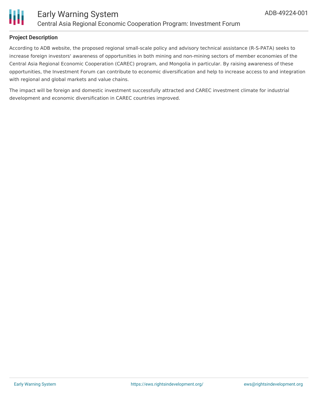

### **Project Description**

According to ADB website, the proposed regional small-scale policy and advisory technical assistance (R-S-PATA) seeks to increase foreign investors' awareness of opportunities in both mining and non-mining sectors of member economies of the Central Asia Regional Economic Cooperation (CAREC) program, and Mongolia in particular. By raising awareness of these opportunities, the Investment Forum can contribute to economic diversification and help to increase access to and integration with regional and global markets and value chains.

The impact will be foreign and domestic investment successfully attracted and CAREC investment climate for industrial development and economic diversification in CAREC countries improved.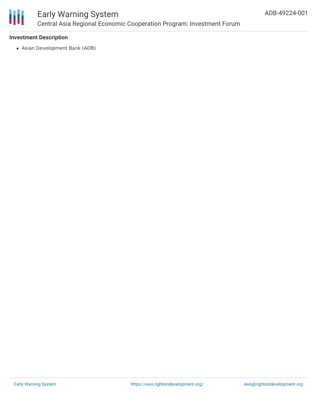

# Early Warning System Central Asia Regional Economic Cooperation Program: Investment Forum

#### **Investment Description**

Asian Development Bank (ADB)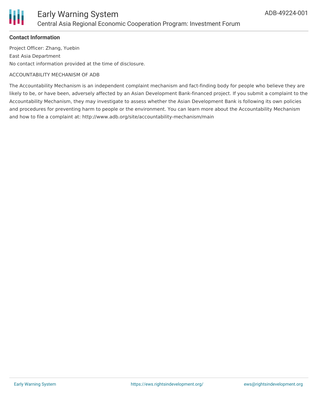

#### **Contact Information**

Project Officer: Zhang, Yuebin East Asia Department No contact information provided at the time of disclosure.

#### ACCOUNTABILITY MECHANISM OF ADB

The Accountability Mechanism is an independent complaint mechanism and fact-finding body for people who believe they are likely to be, or have been, adversely affected by an Asian Development Bank-financed project. If you submit a complaint to the Accountability Mechanism, they may investigate to assess whether the Asian Development Bank is following its own policies and procedures for preventing harm to people or the environment. You can learn more about the Accountability Mechanism and how to file a complaint at: http://www.adb.org/site/accountability-mechanism/main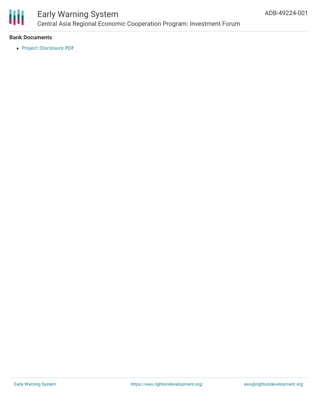

## Early Warning System Central Asia Regional Economic Cooperation Program: Investment Forum

#### **Bank Documents**

Project [Disclosure](https://www.adb.org/printpdf/projects/49224-001/main) PDF